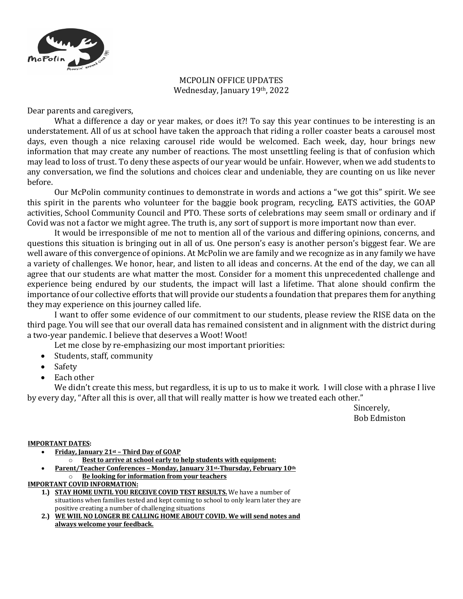

## MCPOLIN OFFICE UPDATES Wednesday, January 19th, 2022

Dear parents and caregivers,

What a difference a day or year makes, or does it?! To say this year continues to be interesting is an understatement. All of us at school have taken the approach that riding a roller coaster beats a carousel most days, even though a nice relaxing carousel ride would be welcomed. Each week, day, hour brings new information that may create any number of reactions. The most unsettling feeling is that of confusion which may lead to loss of trust. To deny these aspects of our year would be unfair. However, when we add students to any conversation, we find the solutions and choices clear and undeniable, they are counting on us like never before. 

Our McPolin community continues to demonstrate in words and actions a "we got this" spirit. We see this spirit in the parents who volunteer for the baggie book program, recycling, EATS activities, the GOAP activities, School Community Council and PTO. These sorts of celebrations may seem small or ordinary and if Covid was not a factor we might agree. The truth is, any sort of support is more important now than ever.

It would be irresponsible of me not to mention all of the various and differing opinions, concerns, and questions this situation is bringing out in all of us. One person's easy is another person's biggest fear. We are well aware of this convergence of opinions. At McPolin we are family and we recognize as in any family we have a variety of challenges. We honor, hear, and listen to all ideas and concerns. At the end of the day, we can all agree that our students are what matter the most. Consider for a moment this unprecedented challenge and experience being endured by our students, the impact will last a lifetime. That alone should confirm the importance of our collective efforts that will provide our students a foundation that prepares them for anything they may experience on this journey called life.

I want to offer some evidence of our commitment to our students, please review the RISE data on the third page. You will see that our overall data has remained consistent and in alignment with the district during a two-year pandemic. I believe that deserves a Woot! Woot!

Let me close by re-emphasizing our most important priorities:

- Students, staff, community
- Safety
- Each other

We didn't create this mess, but regardless, it is up to us to make it work. I will close with a phrase I live by every day, "After all this is over, all that will really matter is how we treated each other."

> Sincerely, Bob Edmiston

## **IMPORTANT DATES:**

- **Friday, January 21st – Third Day of GOAP**
	- **Best to arrive at school early to help students with equipment:**
- Parent/Teacher Conferences Monday, January 31st-Thursday, February 10th o **Be looking for information from your teachers**

## **IMPORTANT COVID INFORMATION:**

- **1.) STAY HOME UNTIL YOU RECEIVE COVID TEST RESULTS.** We have a number of situations when families tested and kept coming to school to only learn later they are positive creating a number of challenging situations
- 2.) WE WIIL NO LONGER BE CALLING HOME ABOUT COVID. We will send notes and always welcome your feedback.